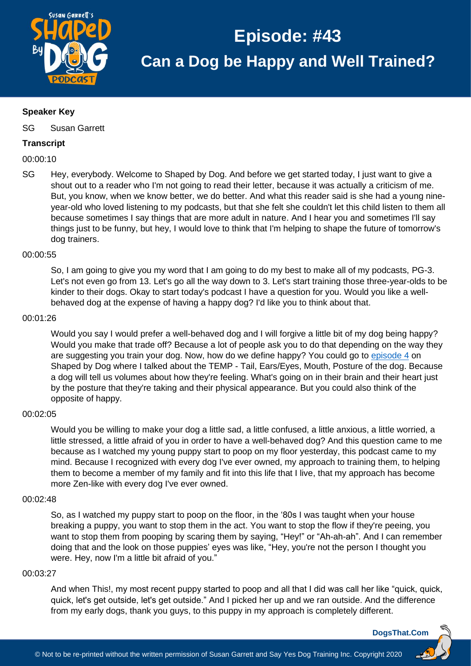

## **Speaker Key**

SG Susan Garrett

## **Transcript**

00:00:10

SG Hey, everybody. Welcome to Shaped by Dog. And before we get started today, I just want to give a shout out to a reader who I'm not going to read their letter, because it was actually a criticism of me. But, you know, when we know better, we do better. And what this reader said is she had a young nineyear-old who loved listening to my podcasts, but that she felt she couldn't let this child listen to them all because sometimes I say things that are more adult in nature. And I hear you and sometimes I'll say things just to be funny, but hey, I would love to think that I'm helping to shape the future of tomorrow's dog trainers.

## 00:00:55

So, I am going to give you my word that I am going to do my best to make all of my podcasts, PG-3. Let's not even go from 13. Let's go all the way down to 3. Let's start training those three-year-olds to be kinder to their dogs. Okay to start today's podcast I have a question for you. Would you like a wellbehaved dog at the expense of having a happy dog? I'd like you to think about that.

## 00:01:26

Would you say I would prefer a well-behaved dog and I will forgive a little bit of my dog being happy? Would you make that trade off? Because a lot of people ask you to do that depending on the way they are suggesting you train your dog. Now, how do we define happy? You could go to [episode 4](https://dogsthat.com/podcast/4/) on Shaped by Dog where I talked about the TEMP - Tail, Ears/Eyes, Mouth, Posture of the dog. Because a dog will tell us volumes about how they're feeling. What's going on in their brain and their heart just by the posture that they're taking and their physical appearance. But you could also think of the opposite of happy.

## 00:02:05

Would you be willing to make your dog a little sad, a little confused, a little anxious, a little worried, a little stressed, a little afraid of you in order to have a well-behaved dog? And this question came to me because as I watched my young puppy start to poop on my floor yesterday, this podcast came to my mind. Because I recognized with every dog I've ever owned, my approach to training them, to helping them to become a member of my family and fit into this life that I live, that my approach has become more Zen-like with every dog I've ever owned.

#### 00:02:48

So, as I watched my puppy start to poop on the floor, in the '80s I was taught when your house breaking a puppy, you want to stop them in the act. You want to stop the flow if they're peeing, you want to stop them from pooping by scaring them by saying, "Hey!" or "Ah-ah-ah". And I can remember doing that and the look on those puppies' eyes was like, "Hey, you're not the person I thought you were. Hey, now I'm a little bit afraid of you."

#### 00:03:27

And when This!, my most recent puppy started to poop and all that I did was call her like "quick, quick, quick, let's get outside, let's get outside." And I picked her up and we ran outside. And the difference from my early dogs, thank you guys, to this puppy in my approach is completely different.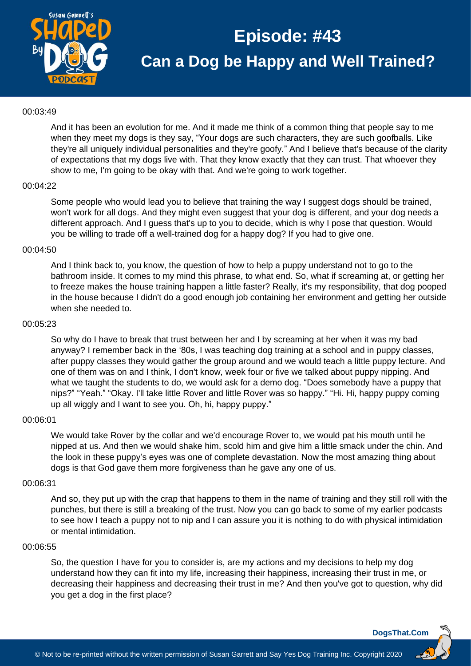

### 00:03:49

And it has been an evolution for me. And it made me think of a common thing that people say to me when they meet my dogs is they say, "Your dogs are such characters, they are such goofballs. Like they're all uniquely individual personalities and they're goofy." And I believe that's because of the clarity of expectations that my dogs live with. That they know exactly that they can trust. That whoever they show to me, I'm going to be okay with that. And we're going to work together.

#### 00:04:22

Some people who would lead you to believe that training the way I suggest dogs should be trained, won't work for all dogs. And they might even suggest that your dog is different, and your dog needs a different approach. And I guess that's up to you to decide, which is why I pose that question. Would you be willing to trade off a well-trained dog for a happy dog? If you had to give one.

#### 00:04:50

And I think back to, you know, the question of how to help a puppy understand not to go to the bathroom inside. It comes to my mind this phrase, to what end. So, what if screaming at, or getting her to freeze makes the house training happen a little faster? Really, it's my responsibility, that dog pooped in the house because I didn't do a good enough job containing her environment and getting her outside when she needed to.

#### 00:05:23

So why do I have to break that trust between her and I by screaming at her when it was my bad anyway? I remember back in the '80s, I was teaching dog training at a school and in puppy classes, after puppy classes they would gather the group around and we would teach a little puppy lecture. And one of them was on and I think, I don't know, week four or five we talked about puppy nipping. And what we taught the students to do, we would ask for a demo dog. "Does somebody have a puppy that nips?" "Yeah." "Okay. I'll take little Rover and little Rover was so happy." "Hi. Hi, happy puppy coming up all wiggly and I want to see you. Oh, hi, happy puppy."

#### 00:06:01

We would take Rover by the collar and we'd encourage Rover to, we would pat his mouth until he nipped at us. And then we would shake him, scold him and give him a little smack under the chin. And the look in these puppy's eyes was one of complete devastation. Now the most amazing thing about dogs is that God gave them more forgiveness than he gave any one of us.

## 00:06:31

And so, they put up with the crap that happens to them in the name of training and they still roll with the punches, but there is still a breaking of the trust. Now you can go back to some of my earlier podcasts to see how I teach a puppy not to nip and I can assure you it is nothing to do with physical intimidation or mental intimidation.

#### 00:06:55

So, the question I have for you to consider is, are my actions and my decisions to help my dog understand how they can fit into my life, increasing their happiness, increasing their trust in me, or decreasing their happiness and decreasing their trust in me? And then you've got to question, why did you get a dog in the first place?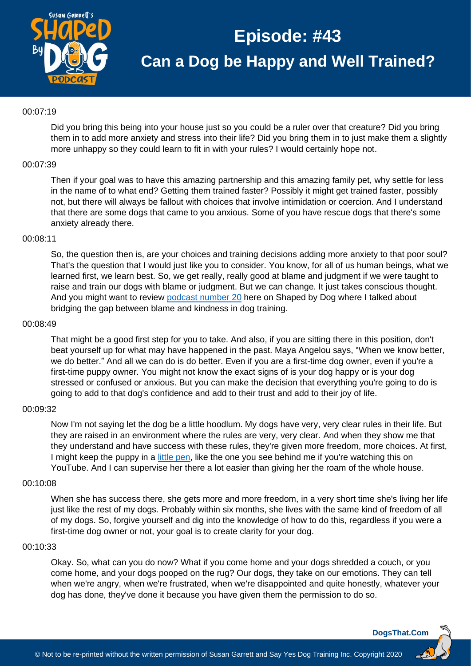

## 00:07:19

Did you bring this being into your house just so you could be a ruler over that creature? Did you bring them in to add more anxiety and stress into their life? Did you bring them in to just make them a slightly more unhappy so they could learn to fit in with your rules? I would certainly hope not.

### 00:07:39

Then if your goal was to have this amazing partnership and this amazing family pet, why settle for less in the name of to what end? Getting them trained faster? Possibly it might get trained faster, possibly not, but there will always be fallout with choices that involve intimidation or coercion. And I understand that there are some dogs that came to you anxious. Some of you have rescue dogs that there's some anxiety already there.

#### 00:08:11

So, the question then is, are your choices and training decisions adding more anxiety to that poor soul? That's the question that I would just like you to consider. You know, for all of us human beings, what we learned first, we learn best. So, we get really, really good at blame and judgment if we were taught to raise and train our dogs with blame or judgment. But we can change. It just takes conscious thought. And you might want to review podcast [number 20](https://dogsthat.com/podcast/20/) here on Shaped by Dog where I talked about bridging the gap between blame and kindness in dog training.

#### 00:08:49

That might be a good first step for you to take. And also, if you are sitting there in this position, don't beat yourself up for what may have happened in the past. Maya Angelou says, "When we know better, we do better." And all we can do is do better. Even if you are a first-time dog owner, even if you're a first-time puppy owner. You might not know the exact signs of is your dog happy or is your dog stressed or confused or anxious. But you can make the decision that everything you're going to do is going to add to that dog's confidence and add to their trust and add to their joy of life.

#### 00:09:32

Now I'm not saying let the dog be a little hoodlum. My dogs have very, very clear rules in their life. But they are raised in an environment where the rules are very, very clear. And when they show me that they understand and have success with these rules, they're given more freedom, more choices. At first, I might keep the puppy in a [little pen,](http://dogsthat.com/roverpanels) like the one you see behind me if you're watching this on YouTube. And I can supervise her there a lot easier than giving her the roam of the whole house.

#### 00:10:08

When she has success there, she gets more and more freedom, in a very short time she's living her life just like the rest of my dogs. Probably within six months, she lives with the same kind of freedom of all of my dogs. So, forgive yourself and dig into the knowledge of how to do this, regardless if you were a first-time dog owner or not, your goal is to create clarity for your dog.

#### 00:10:33

Okay. So, what can you do now? What if you come home and your dogs shredded a couch, or you come home, and your dogs pooped on the rug? Our dogs, they take on our emotions. They can tell when we're angry, when we're frustrated, when we're disappointed and quite honestly, whatever your dog has done, they've done it because you have given them the permission to do so.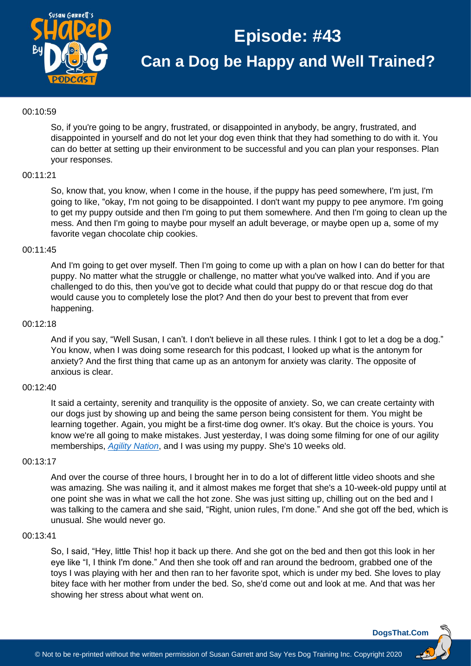

## 00:10:59

So, if you're going to be angry, frustrated, or disappointed in anybody, be angry, frustrated, and disappointed in yourself and do not let your dog even think that they had something to do with it. You can do better at setting up their environment to be successful and you can plan your responses. Plan your responses.

## 00:11:21

So, know that, you know, when I come in the house, if the puppy has peed somewhere, I'm just, I'm going to like, "okay, I'm not going to be disappointed. I don't want my puppy to pee anymore. I'm going to get my puppy outside and then I'm going to put them somewhere. And then I'm going to clean up the mess. And then I'm going to maybe pour myself an adult beverage, or maybe open up a, some of my favorite vegan chocolate chip cookies.

#### 00:11:45

And I'm going to get over myself. Then I'm going to come up with a plan on how I can do better for that puppy. No matter what the struggle or challenge, no matter what you've walked into. And if you are challenged to do this, then you've got to decide what could that puppy do or that rescue dog do that would cause you to completely lose the plot? And then do your best to prevent that from ever happening.

#### 00:12:18

And if you say, "Well Susan, I can't. I don't believe in all these rules. I think I got to let a dog be a dog." You know, when I was doing some research for this podcast, I looked up what is the antonym for anxiety? And the first thing that came up as an antonym for anxiety was clarity. The opposite of anxious is clear.

#### 00:12:40

It said a certainty, serenity and tranquility is the opposite of anxiety. So, we can create certainty with our dogs just by showing up and being the same person being consistent for them. You might be learning together. Again, you might be a first-time dog owner. It's okay. But the choice is yours. You know we're all going to make mistakes. Just yesterday, I was doing some filming for one of our agility memberships, *[Agility Nation](https://dogsthat.com/agility-nation/)*, and I was using my puppy. She's 10 weeks old.

## 00:13:17

And over the course of three hours, I brought her in to do a lot of different little video shoots and she was amazing. She was nailing it, and it almost makes me forget that she's a 10-week-old puppy until at one point she was in what we call the hot zone. She was just sitting up, chilling out on the bed and I was talking to the camera and she said, "Right, union rules, I'm done." And she got off the bed, which is unusual. She would never go.

#### 00:13:41

So, I said, "Hey, little This! hop it back up there. And she got on the bed and then got this look in her eye like "I, I think I'm done." And then she took off and ran around the bedroom, grabbed one of the toys I was playing with her and then ran to her favorite spot, which is under my bed. She loves to play bitey face with her mother from under the bed. So, she'd come out and look at me. And that was her showing her stress about what went on.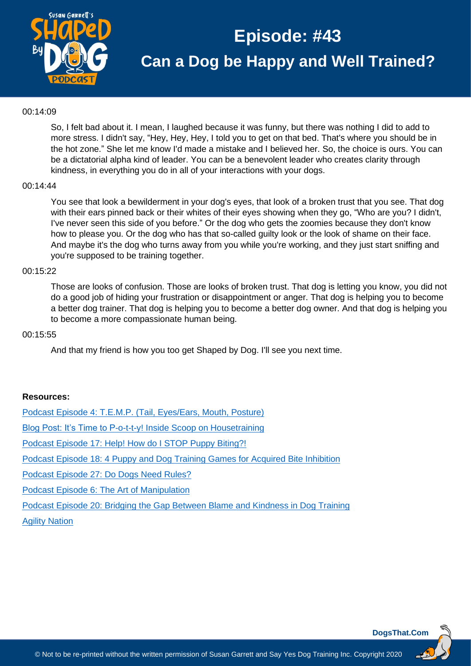

## 00:14:09

So, I felt bad about it. I mean, I laughed because it was funny, but there was nothing I did to add to more stress. I didn't say, "Hey, Hey, Hey, I told you to get on that bed. That's where you should be in the hot zone." She let me know I'd made a mistake and I believed her. So, the choice is ours. You can be a dictatorial alpha kind of leader. You can be a benevolent leader who creates clarity through kindness, in everything you do in all of your interactions with your dogs.

#### 00:14:44

You see that look a bewilderment in your dog's eyes, that look of a broken trust that you see. That dog with their ears pinned back or their whites of their eyes showing when they go, "Who are you? I didn't, I've never seen this side of you before." Or the dog who gets the zoomies because they don't know how to please you. Or the dog who has that so-called guilty look or the look of shame on their face. And maybe it's the dog who turns away from you while you're working, and they just start sniffing and you're supposed to be training together.

#### 00:15:22

Those are looks of confusion. Those are looks of broken trust. That dog is letting you know, you did not do a good job of hiding your frustration or disappointment or anger. That dog is helping you to become a better dog trainer. That dog is helping you to become a better dog owner. And that dog is helping you to become a more compassionate human being.

#### 00:15:55

And that my friend is how you too get Shaped by Dog. I'll see you next time.

## **Resources:**

[Podcast Episode 4: T.E.M.P. \(Tail, Eyes/Ears, Mouth, Posture\)](https://dogsthat.com/podcast/4/)

[Blog Post: It's Time to P-o-t-t-y! Inside Scoop on Housetraining](https://susangarrettdogagility.com/2018/08/scoop-on-housetraining/)

[Podcast Episode 17: Help! How do I STOP Puppy Biting?!](https://dogsthat.com/podcast/17/)

Podcast Episode 18: 4 [Puppy and Dog Training Games for Acquired Bite Inhibition](https://dogsthat.com/podcast/18/)

[Podcast Episode 27: Do Dogs Need Rules?](https://dogsthat.com/podcast/27/)

[Podcast Episode 6: The Art of Manipulation](https://dogsthat.com/podcast/6/)

[Podcast Episode 20: Bridging the Gap Between Blame and Kindness in Dog Training](https://dogsthat.com/podcast/20/)

[Agility Nation](https://dogsthat.com/agility-nation/)